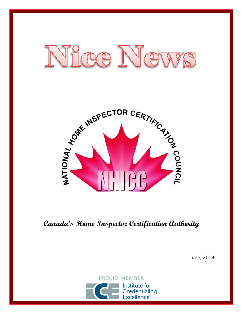



**Canada's Home Inspector Certification Authority**

June, 2019

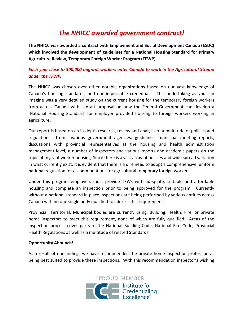# *The NHICC awarded government contract!*

**The NHICC was awarded a contract with Employment and Social Development Canada (ESDC) which involved the development of guidelines for a National Housing Standard for Primary Agriculture Review, Temporary Foreign Worker Program (TFWP)**

### *Each year close to 300,000 migrant workers enter Canada to work in the Agricultural Stream under the TFWP.*

The NHICC was chosen over other notable organizations based on our vast knowledge of Canada's housing standards, and our impeccable credentials. This undertaking as you can imagine was a very detailed study on the current housing for the temporary foreign workers from across Canada with a draft proposal on how the Federal Government can develop a 'National Housing Standard' for employer provided housing to foreign workers working in agriculture.

Our report is based on an in-depth research, review and analysis of a multitude of policies and regulations from various government agencies, guidelines, municipal meeting reports, discussions with provincial representatives at the housing and health administration management level, a number of inspectors and various reports and academic papers on the topic of migrant worker housing. Since there is a vast array of policies and wide spread variation in what currently exist, it is evident that there is a dire need to adopt a comprehensive, uniform national regulation for accommodations for agricultural temporary foreign workers.

Under this program employers must provide TFWs with adequate, suitable and affordable housing and complete an inspection prior to being approved for the program. Currently without a national standard in place inspections are being performed by various entities across Canada with no one single body qualified to address this requirement.

Provincial, Territorial, Municipal bodies are currently using, Building, Health, Fire, or private home inspectors to meet this requirement, none of which are fully qualified. Areas of the inspection process cover parts of the National Building Code, National Fire Code, Provincial Health Regulations as well as a multitude of related Standards.

#### **Opportunity Abounds!**

As a result of our findings we have recommended the private home inspection profession as being best suited to provide these inspections. With this recommendation inspector's wishing